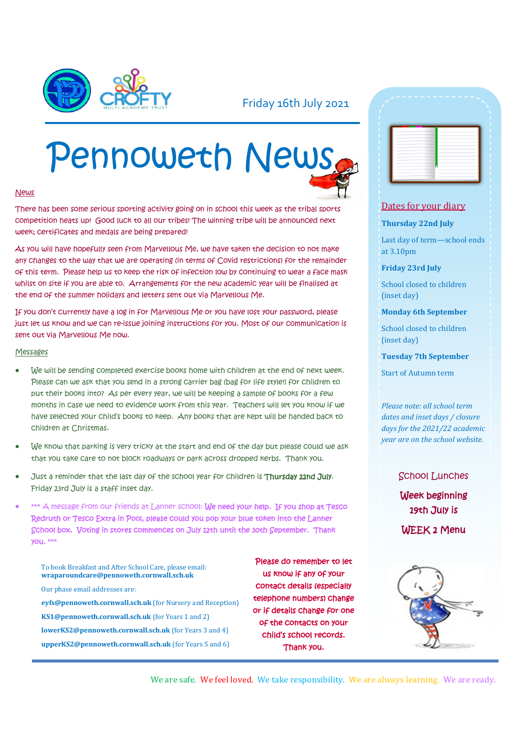

### Friday 16th July 2021

# Pennoweth News

#### News

There has been some serious sporting activity going on in school this week as the tribal sports competition heats up! Good luck to all our tribes! The winning tribe will be announced next week: Certificates and medals are being prepared!

As you will have hopefully seen from Marvellous Me, we have taken the decision to not make any changes to the way that we are operating (in terms of Covid restrictions) for the remainder of this term. Please help us to keep the risk of infection low by continuing to wear a face mask whilst on site if you are able to. Arrangements for the new academic year will be finalised at the end of the summer holidays and letters sent out via Marvellous Me.

If you don't currently have a log in for Marvellous Me or you have lost your password, please just let us know and we can re-issue joining instructions for you. Most of our communication is sent out via Marvellous Me now.

#### Messages

- We will be sending completed exercise books home with children at the end of next week. Please can we ask that you send in a strong carrier bag (bag for life style!) for children to put their books into? As per every year, we will be keeping a sample of books for a few months in case we need to evidence work from this year. Teachers will let you know if we have selected your child's books to keep. Any books that are kept will be handed back to children at Christmas.
- We know that parking is very tricky at the start and end of the day but please could we ask that you take care to not block roadways or park across dropped kerbs. Thank you.
- Just a reminder that the last day of the school year for children is Thursday 22nd July. Friday 23rd July is a staff inset day.
- \*\*\* A message from our friends at Lanner school: We need your help. If you shop at Tesco Redruth or Tesco Extra in Pool, please could you pop your blue token into the Lanner School box. Voting in stores commences on July 12th until the 30th September. Thank you. \*\*\*

To book Breakfast and After School Care, please email: **wraparoundcare@pennoweth.cornwall.sch.uk** Our phase email addresses are: **eyfs@pennoweth.cornwall.sch.uk** (for Nursery and Reception) **KS1@pennoweth.cornwall.sch.uk** (for Years 1 and 2) **lowerKS2@pennoweth.cornwall.sch.uk** (for Years 3 and 4) **upperKS2@pennoweth.cornwall.sch.uk** (for Years 5 and 6)

Please do remember to let us know if any of your contact details (especially telephone numbers) change or if details change for one of the contacts on your child's school records. Thank you.

|  | ÷      | - |
|--|--------|---|
|  | ÷      |   |
|  | - 1    |   |
|  | - 1    |   |
|  | -      |   |
|  | --     |   |
|  | --     |   |
|  | $\sim$ | - |
|  | -      | ۰ |
|  | -      | ۰ |
|  | --     | ÷ |
|  | -      |   |
|  | $\sim$ |   |
|  | --     |   |
|  | $\sim$ | - |

#### Dates for your diary

#### **Thursday 22nd July**

Last day of term—school ends at 3.10pm

**Friday 23rd July**

School closed to children (inset day)

**Monday 6th September**

School closed to children (inset day)

**Tuesday 7th September**

Start of Autumn term

*Please note: all school term dates and inset days / closure days for the 2021/22 academic year are on the school website.* 

> School Lunches Week beginning 19th July is WEEK 2 Menu



We are safe. We feel loved. We take responsibility. We are always learning. We are ready.